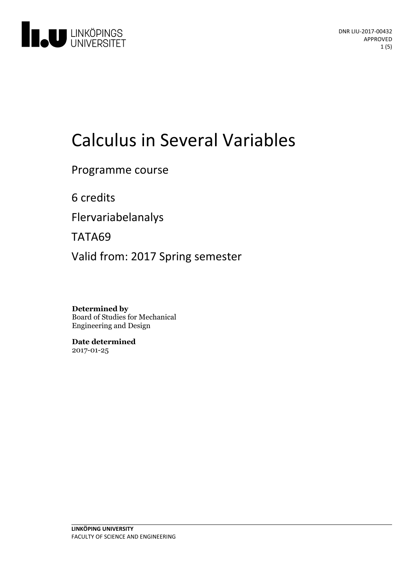

# Calculus in Several Variables

Programme course

6 credits

Flervariabelanalys

TATA69

Valid from: 2017 Spring semester

**Determined by** Board of Studies for Mechanical Engineering and Design

**Date determined** 2017-01-25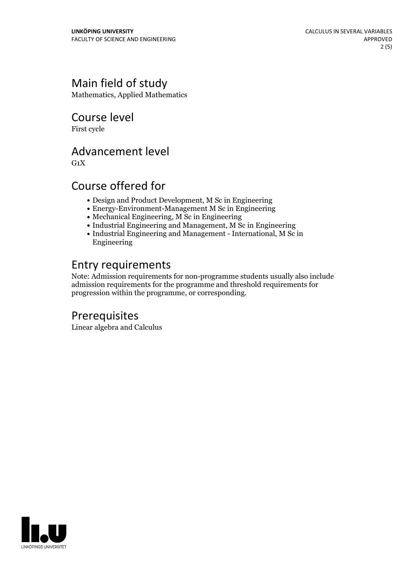## Main field of study

Mathematics, Applied Mathematics

Course level

First cycle

## Advancement level

 $G_1X$ 

## Course offered for

- Design and Product Development, M Sc in Engineering
- Energy-Environment-Management M Sc in Engineering
- Mechanical Engineering, M Sc in Engineering
- Industrial Engineering and Management, M Sc in Engineering
- Industrial Engineering and Management International, M Sc in Engineering

## Entry requirements

Note: Admission requirements for non-programme students usually also include admission requirements for the programme and threshold requirements for progression within the programme, or corresponding.

## Prerequisites

Linear algebra and Calculus

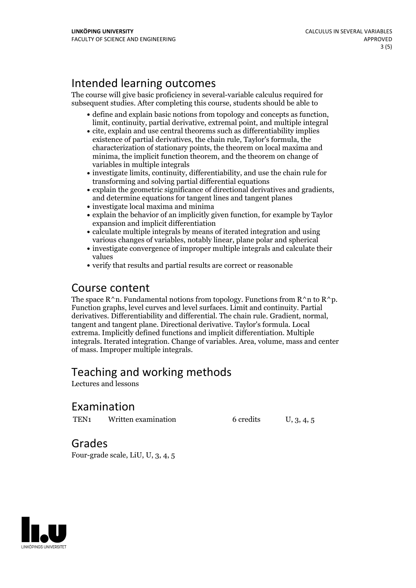## Intended learning outcomes

The course will give basic proficiency in several-variable calculus required for subsequent studies. After completing this course, students should be able to

- define and explain basic notions from topology and concepts as function, limit, continuity, partial derivative, extremal point, and multiple integral
- cite, explain and use central theorems such as differentiability implies existence of partial derivatives, the chain rule, Taylor's formula, the characterization of stationary points, the theorem on local maxima and minima, the implicit function theorem, and the theorem on change of variables in multiple integrals
- investigate limits, continuity, differentiability, and use the chain rule for transforming and solving partial differential equations
- explain the geometric significance of directional derivatives and gradients, and determine equations for tangent lines and tangent planes
- investigate local maxima and minima
- explain the behavior of an implicitly given function, for example by Taylor expansion and implicit differentiation
- calculate multiple integrals by means of iterated integration and using various changes of variables, notably linear, plane polar and spherical
- investigate convergence of improper multiple integrals and calculate their values
- verify that results and partial results are correct or reasonable

### Course content

The space  $R^n$ n. Fundamental notions from topology. Functions from  $R^nn$  to  $R^np$ . Function graphs, level curves and level surfaces. Limit and continuity. Partial derivatives. Differentiability and differential. The chain rule. Gradient, normal, tangent and tangent plane. Directional derivative. Taylor's formula. Local extrema. Implicitly defined functions and implicit differentiation. Multiple integrals. Iterated integration. Change of variables. Area, volume, mass and center of mass. Improper multiple integrals.

## Teaching and working methods

Lectures and lessons

#### Examination

TEN<sub>1</sub> Written examination 6 credits U, 3, 4, 5

Grades

Four-grade scale, LiU, U, 3, 4, 5

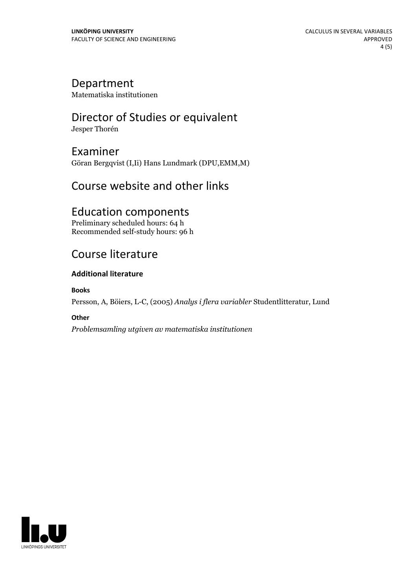#### Department

Matematiska institutionen

# Director of Studies or equivalent

Jesper Thorén

Examiner Göran Bergqvist (I,Ii) Hans Lundmark (DPU,EMM,M)

## Course website and other links

## Education components

Preliminary scheduled hours: 64 h Recommended self-study hours: 96 h

## Course literature

#### **Additional literature**

**Books**

Persson, A, Böiers, L-C, (2005) *Analys i flera variabler* Studentlitteratur, Lund

#### **Other**

*Problemsamling utgiven av matematiska institutionen*